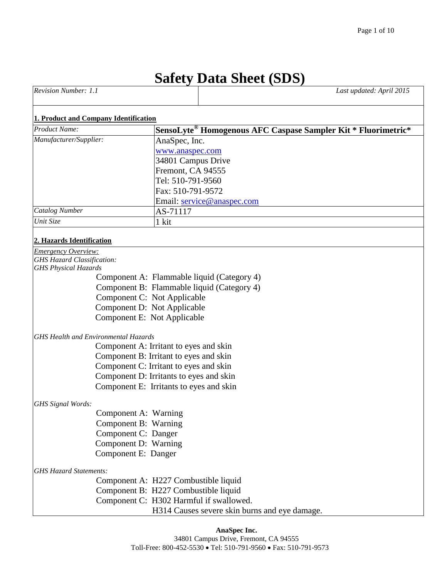# **Safety Data Sheet (SDS)**

| <b>Revision Number:</b> | 2015<br>Last updated: April $\mathcal{I}$ |
|-------------------------|-------------------------------------------|
|                         |                                           |

#### **1. Product and Company Identification**

| <b>Product Name:</b>   | SensoLyte <sup>®</sup> Homogenous AFC Caspase Sampler Kit * Fluorimetric* |
|------------------------|---------------------------------------------------------------------------|
| Manufacturer/Supplier: | AnaSpec, Inc.                                                             |
|                        | www.anaspec.com                                                           |
|                        | 34801 Campus Drive                                                        |
|                        | Fremont, CA 94555                                                         |
|                        | Tel: 510-791-9560                                                         |
|                        | Fax: 510-791-9572                                                         |
|                        | Email: service@anaspec.com                                                |
| <b>Catalog Number</b>  | AS-71117                                                                  |
| Unit Size              | 1 kit                                                                     |

# **2. Hazards Identification**

| Emergency Overview:                           |  |
|-----------------------------------------------|--|
| <b>GHS Hazard Classification:</b>             |  |
| <b>GHS Physical Hazards</b>                   |  |
| Component A: Flammable liquid (Category 4)    |  |
| Component B: Flammable liquid (Category 4)    |  |
| Component C: Not Applicable                   |  |
| Component D: Not Applicable                   |  |
| Component E: Not Applicable                   |  |
| <b>GHS Health and Environmental Hazards</b>   |  |
| Component A: Irritant to eyes and skin        |  |
| Component B: Irritant to eyes and skin        |  |
| Component C: Irritant to eyes and skin        |  |
| Component D: Irritants to eyes and skin       |  |
| Component E: Irritants to eyes and skin       |  |
| <b>GHS</b> Signal Words:                      |  |
| Component A: Warning                          |  |
| Component B: Warning                          |  |
| Component C: Danger                           |  |
| Component D: Warning                          |  |
| Component E: Danger                           |  |
| <b>GHS Hazard Statements:</b>                 |  |
| Component A: H227 Combustible liquid          |  |
| Component B: H227 Combustible liquid          |  |
| Component C: H302 Harmful if swallowed.       |  |
| H314 Causes severe skin burns and eye damage. |  |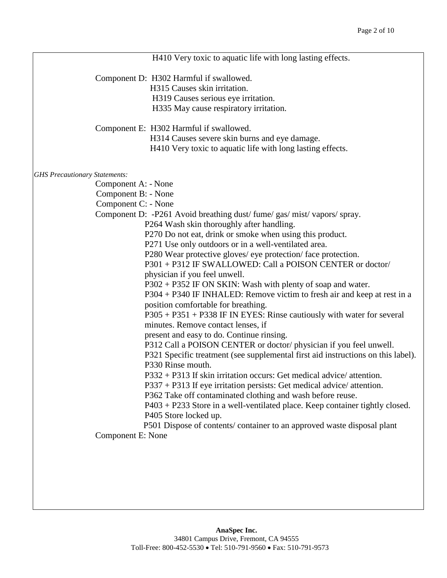|                                      | H410 Very toxic to aquatic life with long lasting effects.                       |
|--------------------------------------|----------------------------------------------------------------------------------|
|                                      | Component D: H302 Harmful if swallowed.                                          |
|                                      | H315 Causes skin irritation.                                                     |
|                                      | H319 Causes serious eye irritation.                                              |
|                                      | H335 May cause respiratory irritation.                                           |
|                                      | Component E: H302 Harmful if swallowed.                                          |
|                                      | H314 Causes severe skin burns and eye damage.                                    |
|                                      | H410 Very toxic to aquatic life with long lasting effects.                       |
| <b>GHS</b> Precautionary Statements: |                                                                                  |
|                                      | Component A: - None                                                              |
|                                      | Component B: - None                                                              |
|                                      | Component C: - None                                                              |
|                                      | Component D: -P261 Avoid breathing dust/fume/gas/mist/vapors/spray.              |
|                                      | P264 Wash skin thoroughly after handling.                                        |
|                                      | P270 Do not eat, drink or smoke when using this product.                         |
|                                      | P271 Use only outdoors or in a well-ventilated area.                             |
|                                      | P280 Wear protective gloves/ eye protection/face protection.                     |
|                                      | P301 + P312 IF SWALLOWED: Call a POISON CENTER or doctor/                        |
|                                      | physician if you feel unwell.                                                    |
|                                      | $P302 + P352$ IF ON SKIN: Wash with plenty of soap and water.                    |
|                                      | P304 + P340 IF INHALED: Remove victim to fresh air and keep at rest in a         |
|                                      | position comfortable for breathing.                                              |
|                                      | P305 + P351 + P338 IF IN EYES: Rinse cautiously with water for several           |
|                                      | minutes. Remove contact lenses, if                                               |
|                                      | present and easy to do. Continue rinsing.                                        |
|                                      | P312 Call a POISON CENTER or doctor/physician if you feel unwell.                |
|                                      | P321 Specific treatment (see supplemental first aid instructions on this label). |
|                                      | P330 Rinse mouth.                                                                |
|                                      | $P332 + P313$ If skin irritation occurs: Get medical advice/attention.           |
|                                      | $P337 + P313$ If eye irritation persists: Get medical advice/attention.          |
|                                      | P362 Take off contaminated clothing and wash before reuse.                       |
|                                      | P403 + P233 Store in a well-ventilated place. Keep container tightly closed.     |
|                                      | P405 Store locked up.                                                            |
|                                      | P501 Dispose of contents/ container to an approved waste disposal plant          |
|                                      | Component E: None                                                                |
|                                      |                                                                                  |
|                                      |                                                                                  |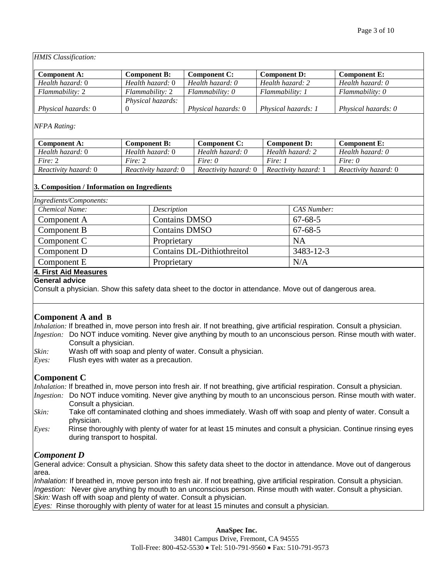*HMIS Classification:*

| Component A:               | <b>Component B:</b> | <b>Component C:</b> | <b>Component D:</b>   | <b>Component E:</b> |
|----------------------------|---------------------|---------------------|-----------------------|---------------------|
| Health hazard: 0           | Health hazard: 0    | Health hazard: 0    | Health hazard: 2      | Health hazard: 0    |
| Flammability: 2            | Flammability: 2     | $Flammability: 0$   | Flammability: 1       | Flammability: 0     |
|                            | Physical hazards:   |                     |                       |                     |
| <i>Physical hazards:</i> 0 |                     | Physical hazards: 0 | Physical hazards: $1$ | Physical hazards: 0 |

#### *NFPA Rating:*

| Component A:                | <b>Component B:</b>         | Component C:         | <b>Component D:</b>         | <b>Component E:</b>  |
|-----------------------------|-----------------------------|----------------------|-----------------------------|----------------------|
| Health hazard: 0            | Health hazard: 0            | Health hazard: 0     | Health hazard: 2            | Health hazard: 0     |
| Fire: 2                     | Fire: 2                     | Fire: $\theta$       | Fire:                       | Fire: $\theta$       |
| <i>Reactivity hazard:</i> 0 | <i>Reactivity hazard:</i> 0 | Reactivity hazard: 0 | <i>Reactivity hazard:</i> 1 | Reactivity hazard: 0 |

#### **3. Composition / Information on Ingredients**

| Ingredients/Components: |                            |               |
|-------------------------|----------------------------|---------------|
| Chemical Name:          | Description                | CAS Number:   |
| Component A             | <b>Contains DMSO</b>       | $67 - 68 - 5$ |
| $\parallel$ Component B | <b>Contains DMSO</b>       | $67 - 68 - 5$ |
| $\parallel$ Component C | Proprietary                | NA            |
| $\parallel$ Component D | Contains DL-Dithiothreitol | 3483-12-3     |
| $\parallel$ Component E | Proprietary                | N/A           |

#### **4. First Aid Measures**

**General advice**

Consult a physician. Show this safety data sheet to the doctor in attendance. Move out of dangerous area.

#### **Component A and B**

*Inhalation:* If breathed in, move person into fresh air. If not breathing, give artificial respiration. Consult a physician. *Ingestion:* Do NOT induce vomiting. Never give anything by mouth to an unconscious person. Rinse mouth with water. Consult a physician.

- *Skin:* Wash off with soap and plenty of water. Consult a physician.
- *Eyes:* Flush eyes with water as a precaution.

#### **Component C**

*Inhalation:* If breathed in, move person into fresh air. If not breathing, give artificial respiration. Consult a physician.

- *Ingestion:* Do NOT induce vomiting. Never give anything by mouth to an unconscious person. Rinse mouth with water. Consult a physician.
- *Skin:* Take off contaminated clothing and shoes immediately. Wash off with soap and plenty of water. Consult a physician.
- *Eyes:* Rinse thoroughly with plenty of water for at least 15 minutes and consult a physician. Continue rinsing eyes during transport to hospital.

# *Component D*

General advice: Consult a physician. Show this safety data sheet to the doctor in attendance. Move out of dangerous area.

*Inhalation:* If breathed in, move person into fresh air. If not breathing, give artificial respiration. Consult a physician. *Ingestion:* Never give anything by mouth to an unconscious person. Rinse mouth with water. Consult a physician. *Skin:* Wash off with soap and plenty of water. Consult a physician.

*Eyes:* Rinse thoroughly with plenty of water for at least 15 minutes and consult a physician.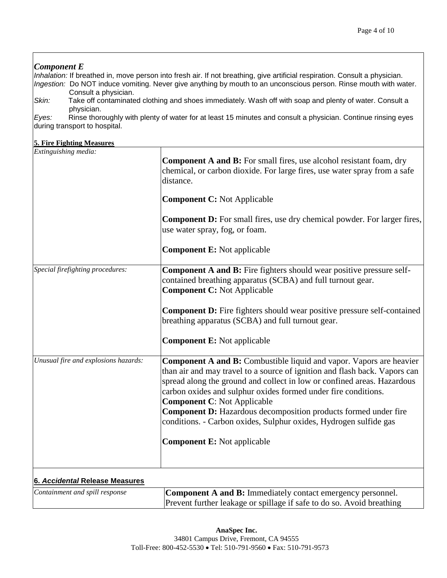# *Component E Inhalation:* If breathed in, move person into fresh air. If not breathing, give artificial respiration. Consult a physician. *Ingestion:* Do NOT induce vomiting. Never give anything by mouth to an unconscious person. Rinse mouth with water. Consult a physician. *Skin:* Take off contaminated clothing and shoes immediately. Wash off with soap and plenty of water. Consult a physician. *Eyes:* Rinse thoroughly with plenty of water for at least 15 minutes and consult a physician. Continue rinsing eyes during transport to hospital. **5. Fire Fighting Measures** *Extinguishing media:*  **Component A and B:** For small fires, use alcohol resistant foam, dry chemical, or carbon dioxide. For large fires, use water spray from a safe distance. **Component C:** Not Applicable **Component D:** For small fires, use dry chemical powder. For larger fires, use water spray, fog, or foam. **Component E:** Not applicable *Special firefighting procedures:* **Component A and B:** Fire fighters should wear positive pressure selfcontained breathing apparatus (SCBA) and full turnout gear. **Component C:** Not Applicable **Component D:** Fire fighters should wear positive pressure self-contained breathing apparatus (SCBA) and full turnout gear. **Component E:** Not applicable *Unusual fire and explosions hazards:* **Component A and B:** Combustible liquid and vapor. Vapors are heavier than air and may travel to a source of ignition and flash back. Vapors can spread along the ground and collect in low or confined areas. Hazardous carbon oxides and sulphur oxides formed under fire conditions. **Component C**: Not Applicable **Component D:** Hazardous decomposition products formed under fire conditions. - Carbon oxides, Sulphur oxides, Hydrogen sulfide gas **Component E:** Not applicable **6.** *Accidental* **Release Measures** *Containment and spill response* **Component A and B:** Immediately contact emergency personnel. Prevent further leakage or spillage if safe to do so. Avoid breathing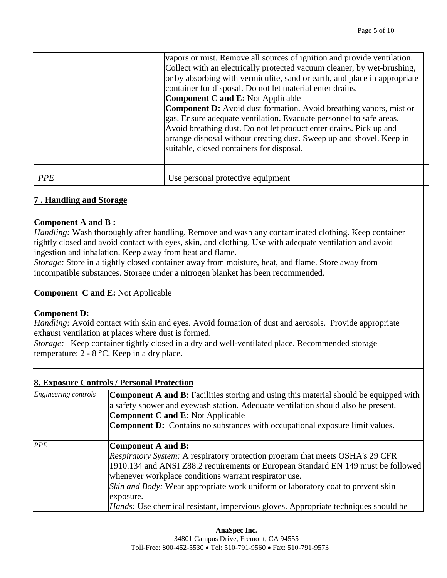|            | vapors or mist. Remove all sources of ignition and provide ventilation.<br>Collect with an electrically protected vacuum cleaner, by wet-brushing,<br>or by absorbing with vermiculite, sand or earth, and place in appropriate<br>container for disposal. Do not let material enter drains.<br><b>Component C and E:</b> Not Applicable<br><b>Component D:</b> Avoid dust formation. Avoid breathing vapors, mist or<br>gas. Ensure adequate ventilation. Evacuate personnel to safe areas.<br>Avoid breathing dust. Do not let product enter drains. Pick up and<br>arrange disposal without creating dust. Sweep up and shovel. Keep in<br>suitable, closed containers for disposal. |
|------------|-----------------------------------------------------------------------------------------------------------------------------------------------------------------------------------------------------------------------------------------------------------------------------------------------------------------------------------------------------------------------------------------------------------------------------------------------------------------------------------------------------------------------------------------------------------------------------------------------------------------------------------------------------------------------------------------|
| <b>PPE</b> | Use personal protective equipment                                                                                                                                                                                                                                                                                                                                                                                                                                                                                                                                                                                                                                                       |

#### **7 . Handling and Storage**

#### **Component A and B :**

*Handling:* Wash thoroughly after handling. Remove and wash any contaminated clothing. Keep container tightly closed and avoid contact with eyes, skin, and clothing. Use with adequate ventilation and avoid ingestion and inhalation. Keep away from heat and flame.

*Storage:* Store in a tightly closed container away from moisture, heat, and flame. Store away from incompatible substances. Storage under a nitrogen blanket has been recommended.

#### **Component C and E:** Not Applicable

# **Component D:**

*Handling:* Avoid contact with skin and eyes. Avoid formation of dust and aerosols. Provide appropriate exhaust ventilation at places where dust is formed.

*Storage:* Keep container tightly closed in a dry and well-ventilated place. Recommended storage temperature:  $2 - 8$  °C. Keep in a dry place.

# **8. Exposure Controls / Personal Protection**

| Engineering controls | <b>Component A and B:</b> Facilities storing and using this material should be equipped with<br>a safety shower and eyewash station. Adequate ventilation should also be present.<br><b>Component C and E:</b> Not Applicable<br><b>Component D:</b> Contains no substances with occupational exposure limit values.                                                                                                                                         |
|----------------------|--------------------------------------------------------------------------------------------------------------------------------------------------------------------------------------------------------------------------------------------------------------------------------------------------------------------------------------------------------------------------------------------------------------------------------------------------------------|
| PPE                  | Component A and B:<br><i>Respiratory System:</i> A respiratory protection program that meets OSHA's 29 CFR<br>1910.134 and ANSI Z88.2 requirements or European Standard EN 149 must be followed<br>whenever workplace conditions warrant respirator use.<br><i>Skin and Body:</i> Wear appropriate work uniform or laboratory coat to prevent skin<br>exposure.<br><i>Hands:</i> Use chemical resistant, impervious gloves. Appropriate techniques should be |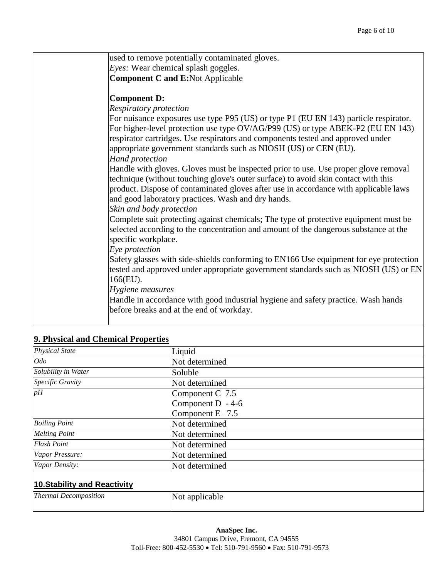|                                     | used to remove potentially contaminated gloves.                                                                                                                                                                                                                                                                                                          |
|-------------------------------------|----------------------------------------------------------------------------------------------------------------------------------------------------------------------------------------------------------------------------------------------------------------------------------------------------------------------------------------------------------|
|                                     | Eyes: Wear chemical splash goggles.                                                                                                                                                                                                                                                                                                                      |
|                                     | <b>Component C and E:Not Applicable</b>                                                                                                                                                                                                                                                                                                                  |
|                                     | <b>Component D:</b>                                                                                                                                                                                                                                                                                                                                      |
|                                     | Respiratory protection                                                                                                                                                                                                                                                                                                                                   |
|                                     | For nuisance exposures use type P95 (US) or type P1 (EU EN 143) particle respirator.<br>For higher-level protection use type OV/AG/P99 (US) or type ABEK-P2 (EU EN 143)<br>respirator cartridges. Use respirators and components tested and approved under<br>appropriate government standards such as NIOSH (US) or CEN (EU).<br><b>Hand protection</b> |
|                                     | Handle with gloves. Gloves must be inspected prior to use. Use proper glove removal<br>technique (without touching glove's outer surface) to avoid skin contact with this<br>product. Dispose of contaminated gloves after use in accordance with applicable laws<br>and good laboratory practices. Wash and dry hands.                                  |
|                                     | Skin and body protection<br>Complete suit protecting against chemicals; The type of protective equipment must be<br>selected according to the concentration and amount of the dangerous substance at the<br>specific workplace.<br>Eye protection                                                                                                        |
|                                     | Safety glasses with side-shields conforming to EN166 Use equipment for eye protection<br>tested and approved under appropriate government standards such as NIOSH (US) or EN<br>166(EU).                                                                                                                                                                 |
|                                     | Hygiene measures<br>Handle in accordance with good industrial hygiene and safety practice. Wash hands<br>before breaks and at the end of workday.                                                                                                                                                                                                        |
| 9. Physical and Chemical Properties |                                                                                                                                                                                                                                                                                                                                                          |

| <b>Physical State</b>               | Liquid              |  |
|-------------------------------------|---------------------|--|
| Odo                                 | Not determined      |  |
| Solubility in Water                 | Soluble             |  |
| Specific Gravity                    | Not determined      |  |
| pH                                  | Component C-7.5     |  |
|                                     | Component D - 4-6   |  |
|                                     | Component $E - 7.5$ |  |
| <b>Boiling Point</b>                | Not determined      |  |
| <b>Melting Point</b>                | Not determined      |  |
| <b>Flash Point</b>                  | Not determined      |  |
| Vapor Pressure:                     | Not determined      |  |
| Vapor Density:                      | Not determined      |  |
| <b>10. Stability and Reactivity</b> |                     |  |
| <b>Thermal Decomposition</b>        | Not applicable      |  |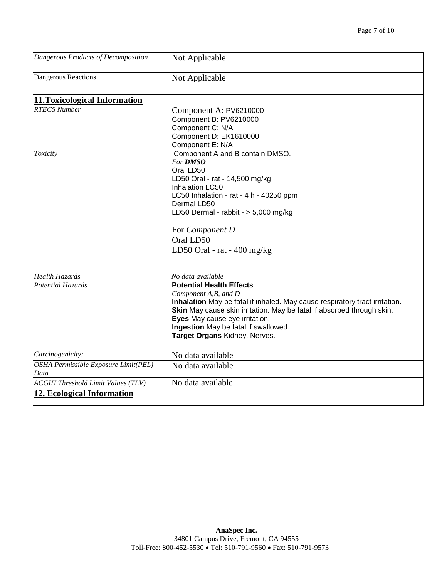| Dangerous Products of Decomposition       | Not Applicable                                                              |
|-------------------------------------------|-----------------------------------------------------------------------------|
| <b>Dangerous Reactions</b>                | Not Applicable                                                              |
| 11. Toxicological Information             |                                                                             |
| <b>RTECS Number</b>                       | Component A: PV6210000                                                      |
|                                           | Component B: PV6210000                                                      |
|                                           | Component C: N/A                                                            |
|                                           | Component D: EK1610000                                                      |
|                                           | Component E: N/A                                                            |
| Toxicity                                  | Component A and B contain DMSO.                                             |
|                                           | <b>For DMSO</b>                                                             |
|                                           | Oral LD50                                                                   |
|                                           | LD50 Oral - rat - 14,500 mg/kg                                              |
|                                           | Inhalation LC50                                                             |
|                                           | LC50 Inhalation - rat - 4 h - 40250 ppm                                     |
|                                           | Dermal LD50                                                                 |
|                                           | LD50 Dermal - rabbit - $> 5,000$ mg/kg                                      |
|                                           | For Component D                                                             |
|                                           | Oral LD50                                                                   |
|                                           | LD50 Oral - rat - $400 \text{ mg/kg}$                                       |
| <b>Health Hazards</b>                     | No data available                                                           |
| <b>Potential Hazards</b>                  | <b>Potential Health Effects</b>                                             |
|                                           | Component A, B, and D                                                       |
|                                           | Inhalation May be fatal if inhaled. May cause respiratory tract irritation. |
|                                           | Skin May cause skin irritation. May be fatal if absorbed through skin.      |
|                                           | Eyes May cause eye irritation.                                              |
|                                           | Ingestion May be fatal if swallowed.                                        |
|                                           | Target Organs Kidney, Nerves.                                               |
| Carcinogenicity:                          | No data available                                                           |
| OSHA Permissible Exposure Limit(PEL)      | No data available                                                           |
| Data                                      |                                                                             |
| <b>ACGIH Threshold Limit Values (TLV)</b> | No data available                                                           |
| 12. Ecological Information                |                                                                             |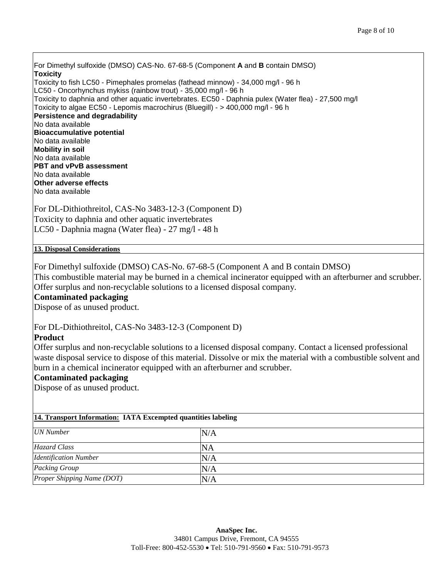For Dimethyl sulfoxide (DMSO) CAS-No. 67-68-5 (Component **A** and **B** contain DMSO) **Toxicity** Toxicity to fish LC50 - Pimephales promelas (fathead minnow) - 34,000 mg/l - 96 h LC50 - Oncorhynchus mykiss (rainbow trout) - 35,000 mg/l - 96 h Toxicity to daphnia and other aquatic invertebrates. EC50 - Daphnia pulex (Water flea) - 27,500 mg/l Toxicity to algae EC50 - Lepomis macrochirus (Bluegill) - > 400,000 mg/l - 96 h **Persistence and degradability** No data available **Bioaccumulative potential** No data available **Mobility in soil** No data available **PBT and vPvB assessment** No data available **Other adverse effects** No data available

For DL-Dithiothreitol, CAS-No 3483-12-3 (Component D) Toxicity to daphnia and other aquatic invertebrates LC50 - Daphnia magna (Water flea) - 27 mg/l - 48 h

#### **13. Disposal Considerations**

For Dimethyl sulfoxide (DMSO) CAS-No. 67-68-5 (Component A and B contain DMSO)

This combustible material may be burned in a chemical incinerator equipped with an afterburner and scrubber. Offer surplus and non-recyclable solutions to a licensed disposal company.

#### **Contaminated packaging**

Dispose of as unused product.

For DL-Dithiothreitol, CAS-No 3483-12-3 (Component D)

#### **Product**

Offer surplus and non-recyclable solutions to a licensed disposal company. Contact a licensed professional waste disposal service to dispose of this material. Dissolve or mix the material with a combustible solvent and burn in a chemical incinerator equipped with an afterburner and scrubber.

#### **Contaminated packaging**

Dispose of as unused product.

#### **14. Transport Information: IATA Excempted quantities labeling**

| <b>UN</b> Number             | N/A       |
|------------------------------|-----------|
| Hazard Class                 | <b>NA</b> |
| <b>Identification Number</b> | N/A       |
| Packing Group                | N/A       |
| Proper Shipping Name (DOT)   | N/A       |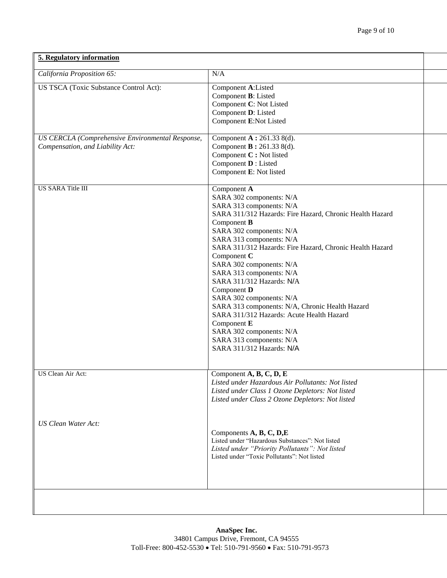| 5. Regulatory information                                                            |                                                                                                                                                                                                                                                                                                                                                                                                                                                                                                                                                                                                                       |  |  |  |  |
|--------------------------------------------------------------------------------------|-----------------------------------------------------------------------------------------------------------------------------------------------------------------------------------------------------------------------------------------------------------------------------------------------------------------------------------------------------------------------------------------------------------------------------------------------------------------------------------------------------------------------------------------------------------------------------------------------------------------------|--|--|--|--|
| California Proposition 65:                                                           | N/A                                                                                                                                                                                                                                                                                                                                                                                                                                                                                                                                                                                                                   |  |  |  |  |
| US TSCA (Toxic Substance Control Act):                                               | Component A:Listed<br>Component B: Listed<br>Component C: Not Listed<br>Component D: Listed<br>Component E:Not Listed                                                                                                                                                                                                                                                                                                                                                                                                                                                                                                 |  |  |  |  |
| US CERCLA (Comprehensive Environmental Response,<br>Compensation, and Liability Act: | Component A: 261.33 8(d).<br>Component <b>B</b> : 261.33 8(d).<br>Component C: Not listed<br>Component <b>D</b> : Listed<br>Component E: Not listed                                                                                                                                                                                                                                                                                                                                                                                                                                                                   |  |  |  |  |
| <b>US SARA Title III</b>                                                             | Component A<br>SARA 302 components: N/A<br>SARA 313 components: N/A<br>SARA 311/312 Hazards: Fire Hazard, Chronic Health Hazard<br>Component B<br>SARA 302 components: N/A<br>SARA 313 components: N/A<br>SARA 311/312 Hazards: Fire Hazard, Chronic Health Hazard<br>Component C<br>SARA 302 components: N/A<br>SARA 313 components: N/A<br>SARA 311/312 Hazards: N/A<br>Component D<br>SARA 302 components: N/A<br>SARA 313 components: N/A, Chronic Health Hazard<br>SARA 311/312 Hazards: Acute Health Hazard<br>Component E<br>SARA 302 components: N/A<br>SARA 313 components: N/A<br>SARA 311/312 Hazards: N/A |  |  |  |  |
| US Clean Air Act:                                                                    | Component $A, B, C, D, E$<br>Listed under Hazardous Air Pollutants: Not listed<br>Listed under Class 1 Ozone Depletors: Not listed<br>Listed under Class 2 Ozone Depletors: Not listed                                                                                                                                                                                                                                                                                                                                                                                                                                |  |  |  |  |
| <b>US Clean Water Act:</b>                                                           | Components A, B, C, D, E<br>Listed under "Hazardous Substances": Not listed<br>Listed under "Priority Pollutants": Not listed<br>Listed under "Toxic Pollutants": Not listed                                                                                                                                                                                                                                                                                                                                                                                                                                          |  |  |  |  |
|                                                                                      |                                                                                                                                                                                                                                                                                                                                                                                                                                                                                                                                                                                                                       |  |  |  |  |